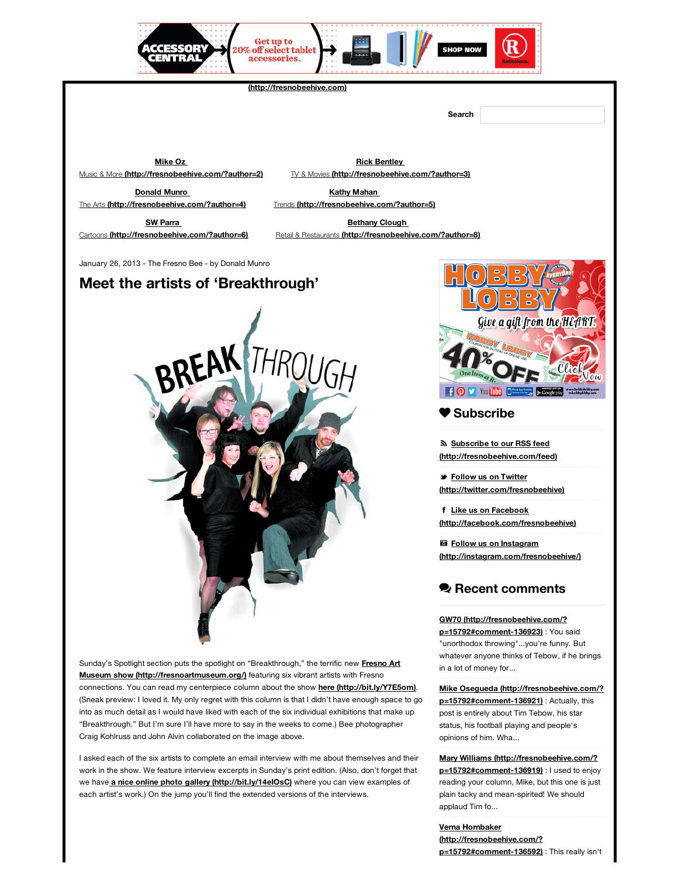# **Meet the artists of 'Breakthrough'**



[Sunday's Spotlight section puts the spotlight on "Breakthrough," the terrific new](http://fresnoartmuseum.org/) **Fresno Art Museum show (http://fresnoartmuseum.org/)** featuring six vibrant artists with Fresno connections. You can read my centerpiece column about the show **[here \(http://bit.ly/Y7E5om\)](http://bit.ly/Y7E5om)**. (Sneak preview: I loved it. My only regret with this column is that I didn't have enough space to go into as much detail as I would have liked with each of the six individual exhibitions that make up "Breakthrough." But I'm sure I'll have more to say in the weeks to come.) Bee photographer Craig Kohlruss and John Alvin collaborated on the image above.

I asked each of the six artists to complete an email interview with me about themselves and their work in the show. We feature interview excerpts in Sunday's print edition. (Also, don't forget that we have **[a nice online photo gallery \(http://bit.ly/14eIOsC\)](http://bit.ly/14eIOsC)** where you can view examples of each artist's work.) On the jump you'll find the extended versions of the interviews.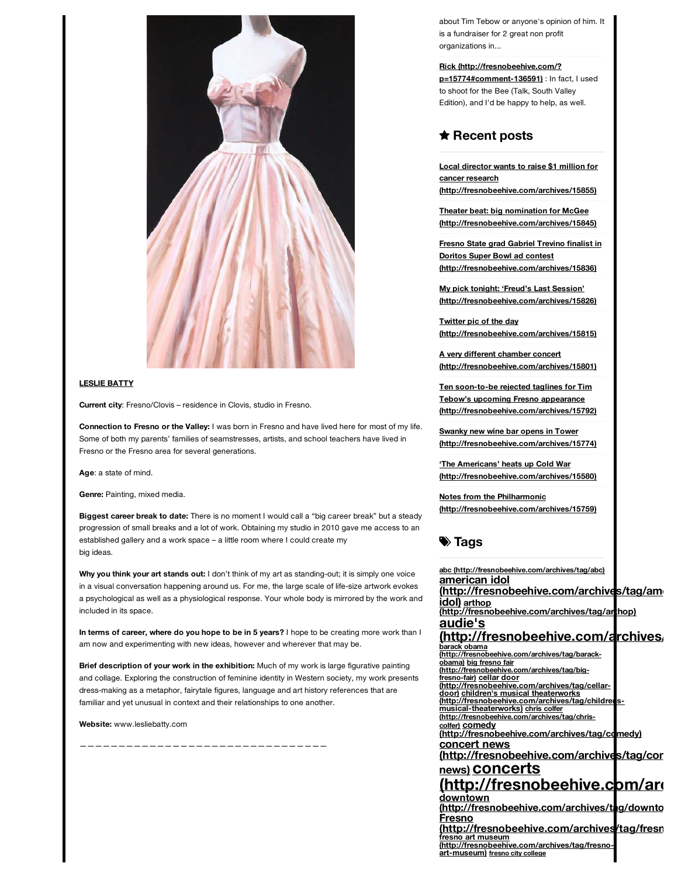

# **LESLIE BATTY**

**Current city**: Fresno/Clovis – residence in Clovis, studio in Fresno.

**Connection to Fresno or the Valley:** I was born in Fresno and have lived here for most of my life. Some of both my parents' families of seamstresses, artists, and school teachers have lived in Fresno or the Fresno area for several generations.

**Age**: a state of mind.

**Genre:** Painting, mixed media.

**Biggest career break to date:** There is no moment I would call a "big career break" but a steady progression of small breaks and a lot of work. Obtaining my studio in 2010 gave me access to an established gallery and a work space – a little room where I could create my big ideas.

**Why you think your art stands out:** I don't think of my art as standing-out; it is simply one voice in a visual conversation happening around us. For me, the large scale of life-size artwork evokes a psychological as well as a physiological response. Your whole body is mirrored by the work and included in its space.

**In terms of career, where do you hope to be in 5 years?** I hope to be creating more work than I am now and experimenting with new ideas, however and wherever that may be.

**Brief description of your work in the exhibition:** Much of my work is large figurative painting and collage. Exploring the construction of feminine identity in Western society, my work presents dress-making as a metaphor, fairytale figures, language and art history references that are familiar and yet unusual in context and their relationships to one another.

**Website:** www.lesliebatty.com

————————————————————————————————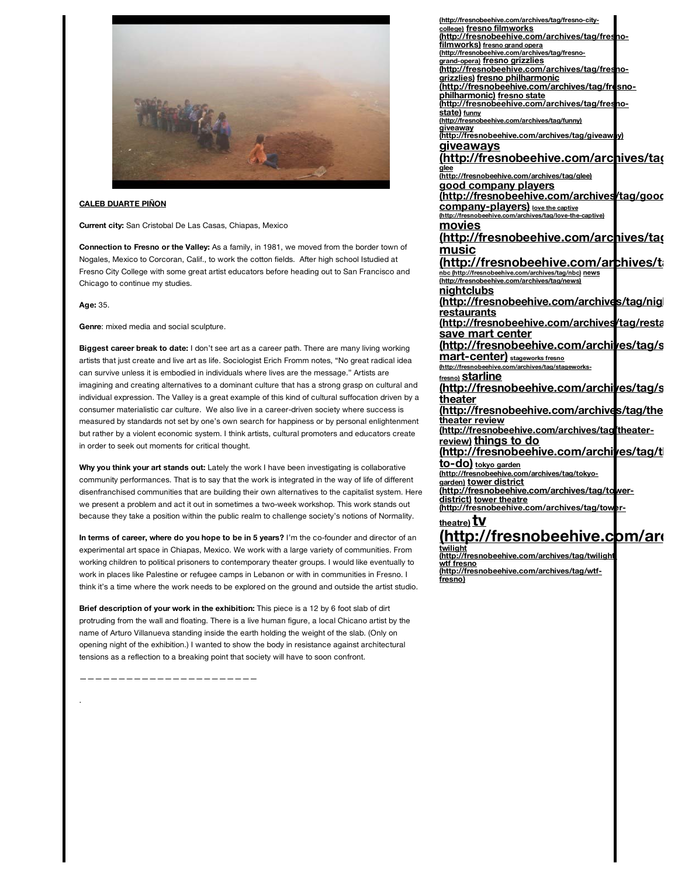

## **CALEB DUARTE PIÑON**

**Current city:** San Cristobal De Las Casas, Chiapas, Mexico

**Connection to Fresno or the Valley:** As a family, in 1981, we moved from the border town of Nogales, Mexico to Corcoran, Calif., to work the cotton fields. After high school Istudied at Fresno City College with some great artist educators before heading out to San Francisco and Chicago to continue my studies.

**Age:** 35.

**Genre**: mixed media and social sculpture.

**Biggest career break to date:** I don't see art as a career path. There are many living working artists that just create and live art as life. Sociologist Erich Fromm notes, "No great radical idea can survive unless it is embodied in individuals where lives are the message." Artists are imagining and creating alternatives to a dominant culture that has a strong grasp on cultural and individual expression. The Valley is a great example of this kind of cultural suffocation driven by a consumer materialistic car culture. We also live in a career-driven society where success is measured by standards not set by one's own search for happiness or by personal enlightenment but rather by a violent economic system. I think artists, cultural promoters and educators create in order to seek out moments for critical thought.

**Why you think your art stands out:** Lately the work I have been investigating is collaborative community performances. That is to say that the work is integrated in the way of life of different disenfranchised communities that are building their own alternatives to the capitalist system. Here we present a problem and act it out in sometimes a two-week workshop. This work stands out because they take a position within the public realm to challenge society's notions of Normality.

**In terms of career, where do you hope to be in 5 years?** I'm the co-founder and director of an experimental art space in Chiapas, Mexico. We work with a large variety of communities. From working children to political prisoners to contemporary theater groups. I would like eventually to work in places like Palestine or refugee camps in Lebanon or with in communities in Fresno. I think it's a time where the work needs to be explored on the ground and outside the artist studio.

**Brief description of your work in the exhibition:** This piece is a 12 by 6 foot slab of dirt protruding from the wall and floating. There is a live human figure, a local Chicano artist by the name of Arturo Villanueva standing inside the earth holding the weight of the slab. (Only on opening night of the exhibition.) I wanted to show the body in resistance against architectural tensions as a reflection to a breaking point that society will have to soon confront.

———————————————————————

.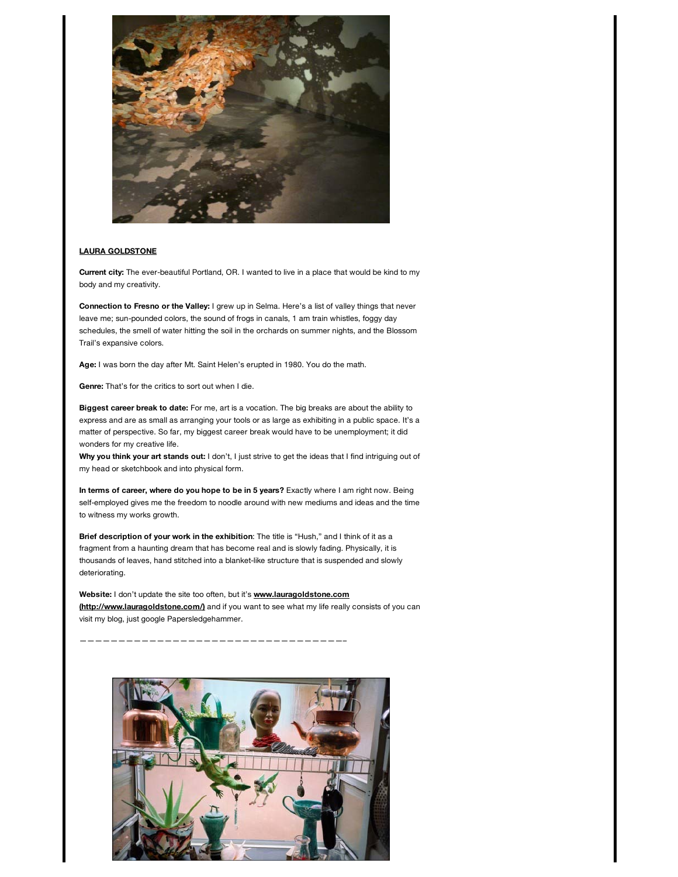![](_page_3_Picture_0.jpeg)

# **LAURA GOLDSTONE**

**Current city:** The ever-beautiful Portland, OR. I wanted to live in a place that would be kind to my body and my creativity.

**Connection to Fresno or the Valley:** I grew up in Selma. Here's a list of valley things that never leave me; sun-pounded colors, the sound of frogs in canals, 1 am train whistles, foggy day schedules, the smell of water hitting the soil in the orchards on summer nights, and the Blossom Trail's expansive colors.

**Age:** I was born the day after Mt. Saint Helen's erupted in 1980. You do the math.

**Genre:** That's for the critics to sort out when I die.

**Biggest career break to date:** For me, art is a vocation. The big breaks are about the ability to express and are as small as arranging your tools or as large as exhibiting in a public space. It's a matter of perspective. So far, my biggest career break would have to be unemployment; it did wonders for my creative life.

**Why you think your art stands out:** I don't, I just strive to get the ideas that I find intriguing out of my head or sketchbook and into physical form.

**In terms of career, where do you hope to be in 5 years?** Exactly where I am right now. Being self-employed gives me the freedom to noodle around with new mediums and ideas and the time to witness my works growth.

**Brief description of your work in the exhibition**: The title is "Hush," and I think of it as a fragment from a haunting dream that has become real and is slowly fading. Physically, it is thousands of leaves, hand stitched into a blanket-like structure that is suspended and slowly deteriorating.

**Website:** I don't update the site too often, but it's **www.lauragoldstone.com (http://www.lauragoldstone.com/)** [and if you want to see what my life really](http://www.lauragoldstone.com/) consists of you can visit my blog, just google Papersledgehammer.

——————————————————————————————————–

![](_page_3_Picture_11.jpeg)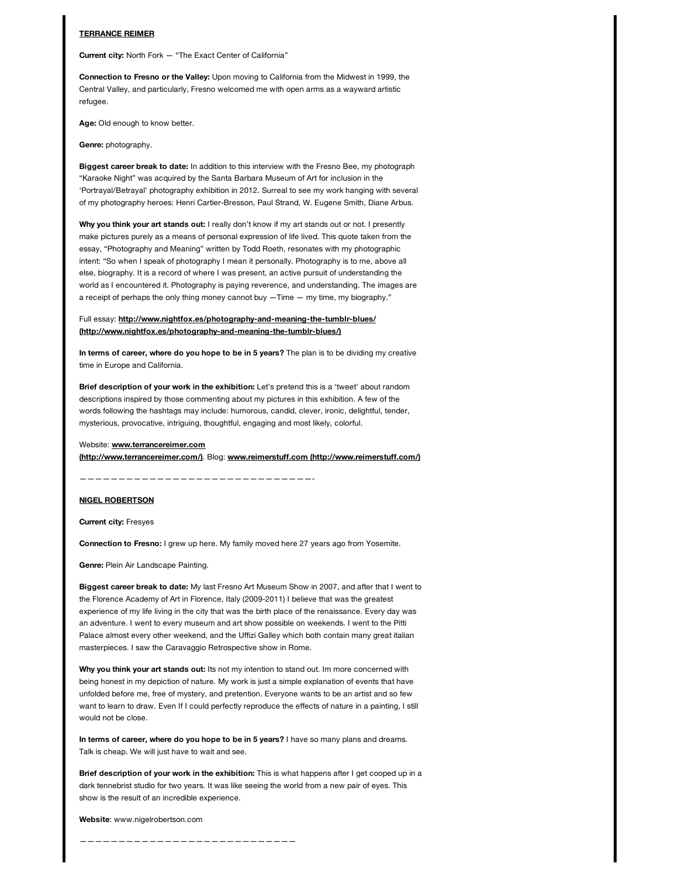#### **TERRANCE REIMER**

**Current city:** North Fork — "The Exact Center of California"

**Connection to Fresno or the Valley:** Upon moving to California from the Midwest in 1999, the Central Valley, and particularly, Fresno welcomed me with open arms as a wayward artistic refugee.

**Age:** Old enough to know better.

#### **Genre:** photography.

**Biggest career break to date:** In addition to this interview with the Fresno Bee, my photograph "Karaoke Night" was acquired by the Santa Barbara Museum of Art for inclusion in the 'Portrayal/Betrayal' photography exhibition in 2012. Surreal to see my work hanging with several of my photography heroes: Henri Cartier-Bresson, Paul Strand, W. Eugene Smith, Diane Arbus.

**Why you think your art stands out:** I really don't know if my art stands out or not. I presently make pictures purely as a means of personal expression of life lived. This quote taken from the essay, "Photography and Meaning" written by Todd Roeth, resonates with my photographic intent: "So when I speak of photography I mean it personally. Photography is to me, above all else, biography. It is a record of where I was present, an active pursuit of understanding the world as I encountered it. Photography is paying reverence, and understanding. The images are a receipt of perhaps the only thing money cannot buy —Time — my time, my biography."

## Full essay: **http://www.nightfox.es/photography-and-meaning-the-tumblr-blues/ [\(http://www.nightfox.es/photography-and-meaning-the-tumblr-blues/\)](http://www.nightfox.es/photography-and-meaning-the-tumblr-blues/)**

**In terms of career, where do you hope to be in 5 years?** The plan is to be dividing my creative time in Europe and California.

**Brief description of your work in the exhibition:** Let's pretend this is a 'tweet' about random descriptions inspired by those commenting about my pictures in this exhibition. A few of the words following the hashtags may include: humorous, candid, clever, ironic, delightful, tender, mysterious, provocative, intriguing, thoughtful, engaging and most likely, colorful.

## Website: **www.terrancereimer.com**

**[\(http://www.terrancereimer.com/\)](http://www.terrancereimer.com/)**. Blog: **[www.reimerstuff.com \(http://www.reimerstuff.com/\)](http://www.reimerstuff.com/)**

——————————————————————————————-

# **NIGEL ROBERTSON**

**Current city:** Fresyes

**Connection to Fresno:** I grew up here. My family moved here 27 years ago from Yosemite.

**Genre:** Plein Air Landscape Painting.

**Biggest career break to date:** My last Fresno Art Museum Show in 2007, and after that I went to the Florence Academy of Art in Florence, Italy (2009-2011) I believe that was the greatest experience of my life living in the city that was the birth place of the renaissance. Every day was an adventure. I went to every museum and art show possible on weekends. I went to the Pitti Palace almost every other weekend, and the Uffizi Galley which both contain many great italian masterpieces. I saw the Caravaggio Retrospective show in Rome.

**Why you think your art stands out:** Its not my intention to stand out. Im more concerned with being honest in my depiction of nature. My work is just a simple explanation of events that have unfolded before me, free of mystery, and pretention. Everyone wants to be an artist and so few want to learn to draw. Even If I could perfectly reproduce the effects of nature in a painting, I still would not be close.

**In terms of career, where do you hope to be in 5 years?** I have so many plans and dreams. Talk is cheap. We will just have to wait and see.

**Brief description of your work in the exhibition:** This is what happens after I get cooped up in a dark tennebrist studio for two years. It was like seeing the world from a new pair of eyes. This show is the result of an incredible experience.

#### **Website**: www.nigelrobertson.com

————————————————————————————